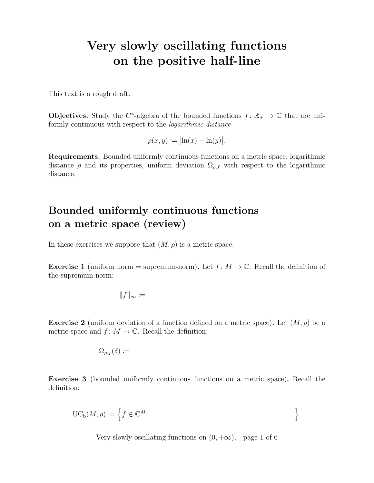# Very slowly oscillating functions on the positive half-line

This text is a rough draft.

**Objectives.** Study the C<sup>\*</sup>-algebra of the bounded functions  $f: \mathbb{R}_+ \to \mathbb{C}$  that are uniformly continuous with respect to the logarithmic distance

$$
\rho(x,y) \coloneqq \bigl| \ln(x) - \ln(y) \bigr|.
$$

Requirements. Bounded uniformly continuous functions on a metric space, logarithmic distance  $\rho$  and its properties, uniform deviation  $\Omega_{\rho,f}$  with respect to the logarithmic distance.

### Bounded uniformly continuous functions on a metric space (review)

In these exercises we suppose that  $(M, \rho)$  is a metric space.

**Exercise 1** (uniform norm = supremum-norm). Let  $f: M \to \mathbb{C}$ . Recall the definition of the supremum-norm:

$$
||f||_{\infty} \coloneqq
$$

**Exercise 2** (uniform deviation of a function defined on a metric space). Let  $(M, \rho)$  be a metric space and  $f: M \to \mathbb{C}$ . Recall the definition:

$$
\Omega_{\rho,f}(\delta) \coloneqq
$$

Exercise 3 (bounded uniformly continuous functions on a metric space). Recall the definition:

$$
\mathrm{UC}_{\mathrm{b}}(M,\rho) \coloneqq \left\{ f \in \mathbb{C}^M : \right\}.
$$

Very slowly oscillating functions on  $(0, +\infty)$ , page 1 of 6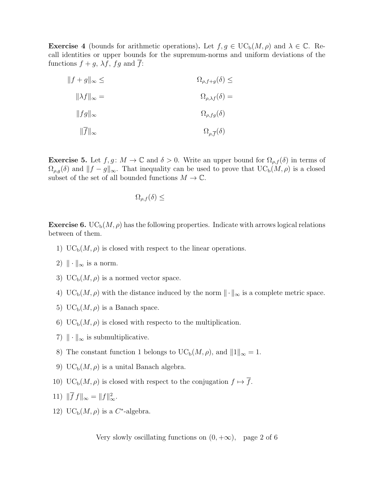**Exercise 4** (bounds for arithmetic operations). Let  $f, g \in \mathrm{UC}_{\mathrm{b}}(M, \rho)$  and  $\lambda \in \mathbb{C}$ . Recall identities or upper bounds for the supremum-norms and uniform deviations of the functions  $f + g$ ,  $\lambda f$ ,  $fg$  and  $\overline{f}$ :

| $  f+g  _{\infty} \leq$    | $\Omega_{\rho,f+g}(\delta) \leq$     |
|----------------------------|--------------------------------------|
| $\ \lambda f\ _{\infty} =$ | $\Omega_{\rho,\lambda f}(\delta) =$  |
| $  fg  _{\infty}$          | $\Omega_{\rho,fg}(\delta)$           |
| $  f  _{\infty}$           | $\Omega_{\rho,\overline{f}}(\delta)$ |

**Exercise 5.** Let  $f, g \colon M \to \mathbb{C}$  and  $\delta > 0$ . Write an upper bound for  $\Omega_{\rho,f}(\delta)$  in terms of  $\Omega_{\rho,g}(\delta)$  and  $||f - g||_{\infty}$ . That inequality can be used to prove that  $UC_b(M, \rho)$  is a closed subset of the set of all bounded functions  $M \to \mathbb{C}$ .

$$
\Omega_{\rho,f}(\delta) \leq
$$

**Exercise 6.** UC<sub>b</sub> $(M, \rho)$  has the following properties. Indicate with arrows logical relations between of them.

- 1) UC<sub>b</sub> $(M, \rho)$  is closed with respect to the linear operations.
- 2)  $\|\cdot\|_{\infty}$  is a norm.
- 3) UC<sub>b</sub> $(M, \rho)$  is a normed vector space.
- 4) UC<sub>b</sub>( $M$ ,  $\rho$ ) with the distance induced by the norm  $\|\cdot\|_{\infty}$  is a complete metric space.
- 5)  $UC_b(M, \rho)$  is a Banach space.
- 6) UC<sub>b</sub> $(M, \rho)$  is closed with respecto to the multiplication.
- 7)  $\|\cdot\|_{\infty}$  is submultiplicative.
- 8) The constant function 1 belongs to  $\mathrm{UC}_{\mathrm{b}}(M,\rho)$ , and  $||1||_{\infty} = 1$ .
- 9) UC<sub>b</sub> $(M, \rho)$  is a unital Banach algebra.
- 10) UC<sub>b</sub>( $M, \rho$ ) is closed with respect to the conjugation  $f \mapsto \overline{f}$ .

11) 
$$
\|\overline{f} f\|_{\infty} = \|f\|_{\infty}^2
$$
.

12) UC<sub>b</sub> $(M, \rho)$  is a C<sup>\*</sup>-algebra.

Very slowly oscillating functions on  $(0, +\infty)$ , page 2 of 6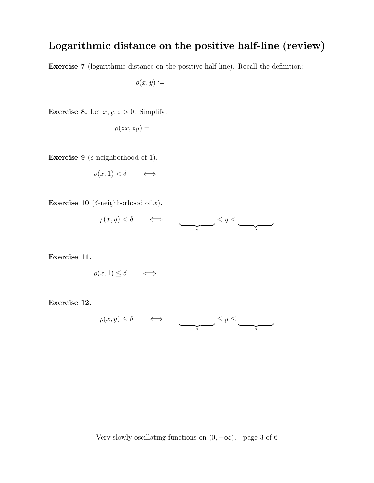# Logarithmic distance on the positive half-line (review)

Exercise 7 (logarithmic distance on the positive half-line). Recall the definition:

 $\rho(x,y) \coloneqq$ 

**Exercise 8.** Let  $x, y, z > 0$ . Simplify:

$$
\rho(zx, zy) =
$$

Exercise 9 ( $\delta$ -neighborhood of 1).

$$
\rho(x,1) < \delta \qquad \Longleftrightarrow \qquad
$$

Exercise 10 ( $\delta$ -neighborhood of x).

$$
\rho(x,y)<\delta\qquad\Longleftrightarrow\qquad\qquad\qquad\Longleftrightarrow\qquad
$$

Exercise 11.

$$
\rho(x,1) \le \delta \qquad \Longleftrightarrow \qquad
$$

Exercise 12.

$$
\rho(x,y) \le \delta \qquad \Longleftrightarrow \qquad \qquad \underbrace{\qquad \qquad }_{?} \le y \le \underbrace{\qquad \qquad }_{?}
$$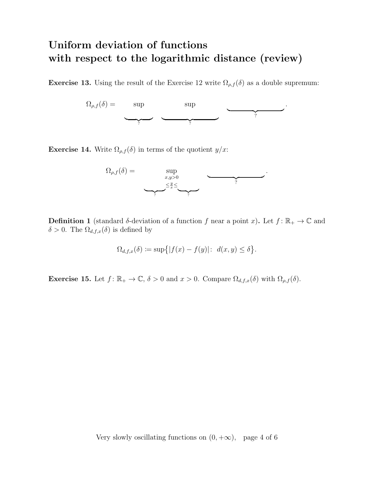### Uniform deviation of functions with respect to the logarithmic distance (review)

**Exercise 13.** Using the result of the Exercise 12 write  $\Omega_{\rho,f}(\delta)$  as a double supremum:



**Exercise 14.** Write  $\Omega_{\rho,f}(\delta)$  in terms of the quotient  $y/x$ :



**Definition 1** (standard δ-deviation of a function f near a point x). Let  $f: \mathbb{R}_+ \to \mathbb{C}$  and  $\delta > 0$ . The  $\Omega_{d,f,x}(\delta)$  is defined by

$$
\Omega_{d,f,x}(\delta) := \sup\{|f(x) - f(y)|: d(x,y) \le \delta\}.
$$

Exercise 15. Let  $f: \mathbb{R}_+ \to \mathbb{C}$ ,  $\delta > 0$  and  $x > 0$ . Compare  $\Omega_{d,f,x}(\delta)$  with  $\Omega_{\rho,f}(\delta)$ .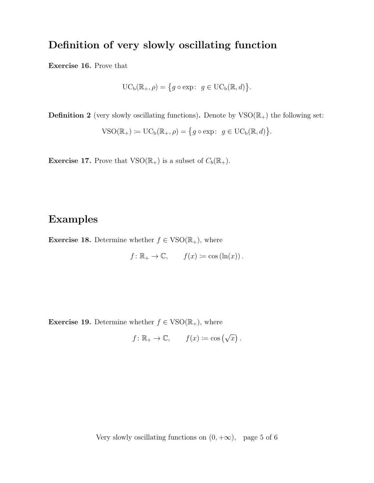### Definition of very slowly oscillating function

Exercise 16. Prove that

$$
\mathrm{UC}_{\mathrm{b}}(\mathbb{R}_+,\rho)=\big\{g\circ\exp\colon\ g\in\mathrm{UC}_{\mathrm{b}}(\mathbb{R},d)\big\}.
$$

**Definition 2** (very slowly oscillating functions). Denote by  $VSO(\mathbb{R}_{+})$  the following set:

$$
\mathrm{VSO}(\mathbb{R}_+):=\mathrm{UC}_b(\mathbb{R}_+,\rho)=\big\{g\circ\exp\colon\ g\in\mathrm{UC}_b(\mathbb{R},d)\big\}.
$$

**Exercise 17.** Prove that  $\text{VSO}(\mathbb{R}_+)$  is a subset of  $C_b(\mathbb{R}_+)$ .

#### Examples

**Exercise 18.** Determine whether  $f \in \text{VSO}(\mathbb{R}_+)$ , where

$$
f: \mathbb{R}_+ \to \mathbb{C}, \qquad f(x) \coloneqq \cos(\ln(x)).
$$

**Exercise 19.** Determine whether  $f \in \text{VSO}(\mathbb{R}_+)$ , where

$$
f: \mathbb{R}_+ \to \mathbb{C}, \qquad f(x) \coloneqq \cos(\sqrt{x}).
$$